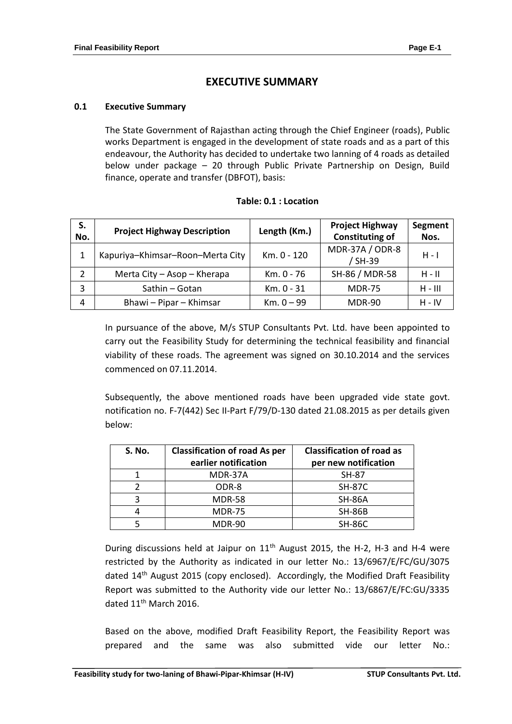# **EXECUTIVE SUMMARY**

### **0.1 Executive Summary**

The State Government of Rajasthan acting through the Chief Engineer (roads), Public works Department is engaged in the development of state roads and as a part of this endeavour, the Authority has decided to undertake two lanning of 4 roads as detailed below under package – 20 through Public Private Partnership on Design, Build finance, operate and transfer (DBFOT), basis:

| S.<br>No. | <b>Project Highway Description</b> | Length (Km.) | <b>Project Highway</b><br><b>Constituting of</b> | Segment<br>Nos. |
|-----------|------------------------------------|--------------|--------------------------------------------------|-----------------|
| 1         | Kapuriya-Khimsar-Roon-Merta City   | Km. 0 - 120  | MDR-37A / ODR-8<br>/ SH-39                       | $H - I$         |
| 2         | Merta City - Asop - Kherapa        | Km. 0 - 76   | SH-86 / MDR-58                                   | $H - H$         |
| 3         | Sathin - Gotan                     | Km. 0 - 31   | <b>MDR-75</b>                                    | $H - III$       |
| 4         | Bhawi - Pipar - Khimsar            | $Km. 0 - 99$ | <b>MDR-90</b>                                    | $H - IV$        |

#### **Table: 0.1 : Location**

In pursuance of the above, M/s STUP Consultants Pvt. Ltd. have been appointed to carry out the Feasibility Study for determining the technical feasibility and financial viability of these roads. The agreement was signed on 30.10.2014 and the services commenced on 07.11.2014.

Subsequently, the above mentioned roads have been upgraded vide state govt. notification no. F-7(442) Sec II-Part F/79/D-130 dated 21.08.2015 as per details given below:

| <b>S. No.</b> | <b>Classification of road As per</b><br>earlier notification | <b>Classification of road as</b><br>per new notification |
|---------------|--------------------------------------------------------------|----------------------------------------------------------|
|               | MDR-37A                                                      | <b>SH-87</b>                                             |
|               | ODR-8                                                        | <b>SH-87C</b>                                            |
| 3             | <b>MDR-58</b>                                                | <b>SH-86A</b>                                            |
| 4             | <b>MDR-75</b>                                                | <b>SH-86B</b>                                            |
|               | <b>MDR-90</b>                                                | <b>SH-86C</b>                                            |

During discussions held at Jaipur on  $11<sup>th</sup>$  August 2015, the H-2, H-3 and H-4 were restricted by the Authority as indicated in our letter No.: 13/6967/E/FC/GU/3075 dated 14<sup>th</sup> August 2015 (copy enclosed). Accordingly, the Modified Draft Feasibility Report was submitted to the Authority vide our letter No.: 13/6867/E/FC:GU/3335 dated 11<sup>th</sup> March 2016.

Based on the above, modified Draft Feasibility Report, the Feasibility Report was prepared and the same was also submitted vide our letter No.: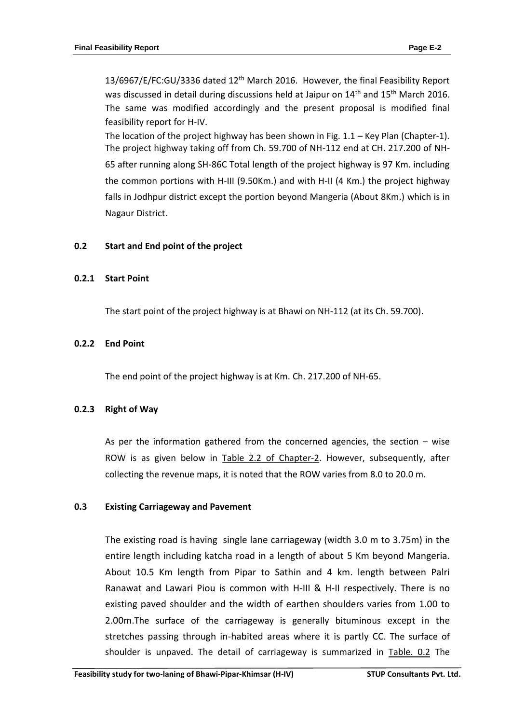13/6967/E/FC:GU/3336 dated 12th March 2016. However, the final Feasibility Report was discussed in detail during discussions held at Jaipur on 14<sup>th</sup> and 15<sup>th</sup> March 2016. The same was modified accordingly and the present proposal is modified final feasibility report for H-IV.

The location of the project highway has been shown in Fig.  $1.1$  – Key Plan (Chapter-1). The project highway taking off from Ch. 59.700 of NH-112 end at CH. 217.200 of NH-65 after running along SH-86C Total length of the project highway is 97 Km. including the common portions with H-III (9.50Km.) and with H-II (4 Km.) the project highway falls in Jodhpur district except the portion beyond Mangeria (About 8Km.) which is in Nagaur District.

## **0.2 Start and End point of the project**

### **0.2.1 Start Point**

The start point of the project highway is at Bhawi on NH-112 (at its Ch. 59.700).

### **0.2.2 End Point**

The end point of the project highway is at Km. Ch. 217.200 of NH-65.

#### **0.2.3 Right of Way**

As per the information gathered from the concerned agencies, the section – wise ROW is as given below in Table 2.2 of Chapter-2. However, subsequently, after collecting the revenue maps, it is noted that the ROW varies from 8.0 to 20.0 m.

## **0.3 Existing Carriageway and Pavement**

The existing road is having single lane carriageway (width 3.0 m to 3.75m) in the entire length including katcha road in a length of about 5 Km beyond Mangeria. About 10.5 Km length from Pipar to Sathin and 4 km. length between Palri Ranawat and Lawari Piou is common with H-III & H-II respectively. There is no existing paved shoulder and the width of earthen shoulders varies from 1.00 to 2.00m.The surface of the carriageway is generally bituminous except in the stretches passing through in-habited areas where it is partly CC. The surface of shoulder is unpaved. The detail of carriageway is summarized in Table. 0.2 The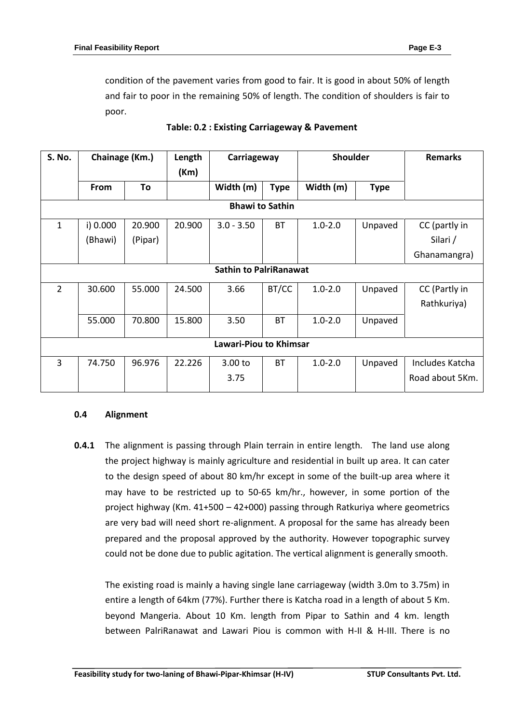condition of the pavement varies from good to fair. It is good in about 50% of length and fair to poor in the remaining 50% of length. The condition of shoulders is fair to poor.

| <b>S. No.</b>                 | Chainage (Km.) |         | Length<br>(Km) | Carriageway                   |             | <b>Shoulder</b> |             | <b>Remarks</b>  |
|-------------------------------|----------------|---------|----------------|-------------------------------|-------------|-----------------|-------------|-----------------|
|                               | From           | To      |                | Width (m)                     | <b>Type</b> | Width (m)       | <b>Type</b> |                 |
|                               |                |         |                | <b>Bhawi to Sathin</b>        |             |                 |             |                 |
| $\mathbf{1}$                  | i) 0.000       | 20.900  | 20.900         | $3.0 - 3.50$                  | <b>BT</b>   | $1.0 - 2.0$     | Unpaved     | CC (partly in   |
|                               | (Bhawi)        | (Pipar) |                |                               |             |                 |             | Silari /        |
|                               |                |         |                |                               |             |                 |             | Ghanamangra)    |
|                               |                |         |                | <b>Sathin to PalriRanawat</b> |             |                 |             |                 |
| $\overline{2}$                | 30.600         | 55.000  | 24.500         | 3.66                          | BT/CC       | $1.0 - 2.0$     | Unpaved     | CC (Partly in   |
|                               |                |         |                |                               |             |                 |             | Rathkuriya)     |
|                               | 55.000         | 70.800  | 15.800         | 3.50                          | <b>BT</b>   | $1.0 - 2.0$     | Unpaved     |                 |
| <b>Lawari-Piou to Khimsar</b> |                |         |                |                               |             |                 |             |                 |
| 3                             | 74.750         | 96.976  | 22.226         | 3.00 to                       | <b>BT</b>   | $1.0 - 2.0$     | Unpaved     | Includes Katcha |
|                               |                |         |                | 3.75                          |             |                 |             | Road about 5Km. |

# **Table: 0.2 : Existing Carriageway & Pavement**

## **0.4 Alignment**

**0.4.1** The alignment is passing through Plain terrain in entire length. The land use along the project highway is mainly agriculture and residential in built up area. It can cater to the design speed of about 80 km/hr except in some of the built-up area where it may have to be restricted up to 50-65 km/hr., however, in some portion of the project highway (Km. 41+500 – 42+000) passing through Ratkuriya where geometrics are very bad will need short re-alignment. A proposal for the same has already been prepared and the proposal approved by the authority. However topographic survey could not be done due to public agitation. The vertical alignment is generally smooth.

The existing road is mainly a having single lane carriageway (width 3.0m to 3.75m) in entire a length of 64km (77%). Further there is Katcha road in a length of about 5 Km. beyond Mangeria. About 10 Km. length from Pipar to Sathin and 4 km. length between PalriRanawat and Lawari Piou is common with H-II & H-III. There is no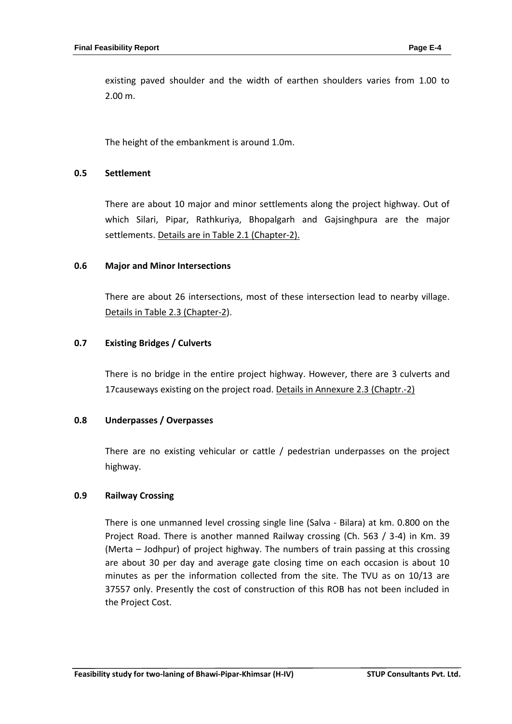existing paved shoulder and the width of earthen shoulders varies from 1.00 to 2.00 m.

The height of the embankment is around 1.0m.

#### **0.5 Settlement**

There are about 10 major and minor settlements along the project highway. Out of which Silari, Pipar, Rathkuriya, Bhopalgarh and Gajsinghpura are the major settlements. Details are in Table 2.1 (Chapter-2).

### **0.6 Major and Minor Intersections**

There are about 26 intersections, most of these intersection lead to nearby village. Details in Table 2.3 (Chapter-2).

### **0.7 Existing Bridges / Culverts**

There is no bridge in the entire project highway. However, there are 3 culverts and 17causeways existing on the project road. Details in Annexure 2.3 (Chaptr.-2)

#### **0.8 Underpasses / Overpasses**

There are no existing vehicular or cattle / pedestrian underpasses on the project highway.

## **0.9 Railway Crossing**

There is one unmanned level crossing single line (Salva - Bilara) at km. 0.800 on the Project Road. There is another manned Railway crossing (Ch. 563 / 3-4) in Km. 39 (Merta – Jodhpur) of project highway. The numbers of train passing at this crossing are about 30 per day and average gate closing time on each occasion is about 10 minutes as per the information collected from the site. The TVU as on 10/13 are 37557 only. Presently the cost of construction of this ROB has not been included in the Project Cost.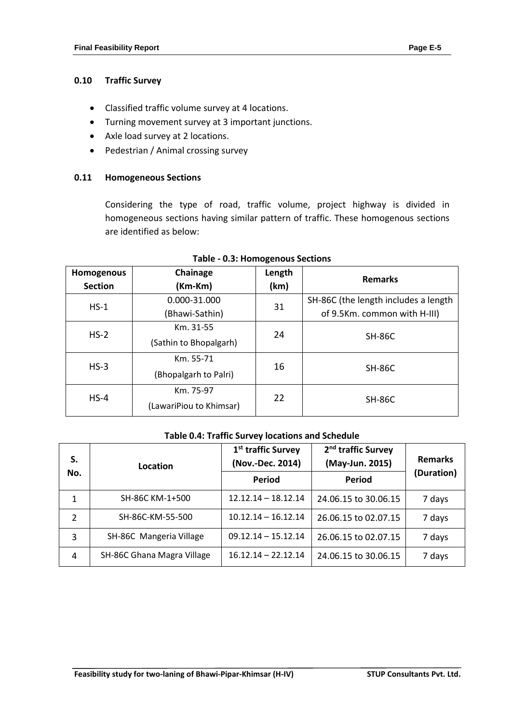# **0.10 Traffic Survey**

- Classified traffic volume survey at 4 locations.
- Turning movement survey at 3 important junctions.
- Axle load survey at 2 locations.
- Pedestrian / Animal crossing survey

## **0.11 Homogeneous Sections**

Considering the type of road, traffic volume, project highway is divided in homogeneous sections having similar pattern of traffic. These homogenous sections are identified as below:

| Homogenous<br><b>Section</b> | Chainage<br>(Km-Km)                       | Length<br>(km) | <b>Remarks</b>                                                       |
|------------------------------|-------------------------------------------|----------------|----------------------------------------------------------------------|
| $HS-1$                       | 0.000-31.000<br>(Bhawi-Sathin)            | 31             | SH-86C (the length includes a length<br>of 9.5Km. common with H-III) |
| $HS-2$                       | Km. 31-55<br>24<br>(Sathin to Bhopalgarh) |                | <b>SH-86C</b>                                                        |
| $HS-3$                       | Km. 55-71<br>(Bhopalgarh to Palri)        | 16             | <b>SH-86C</b>                                                        |
| $HS-4$                       | Km. 75-97<br>(LawariPiou to Khimsar)      | 22             | <b>SH-86C</b>                                                        |

#### **Table - 0.3: Homogenous Sections**

# **Table 0.4: Traffic Survey locations and Schedule**

| S.             | Location                   | 1 <sup>st</sup> traffic Survey<br>(Nov.-Dec. 2014) | 2 <sup>nd</sup> traffic Survey<br>(May-Jun. 2015) | <b>Remarks</b> |  |
|----------------|----------------------------|----------------------------------------------------|---------------------------------------------------|----------------|--|
| No.            |                            | Period                                             | Period                                            | (Duration)     |  |
| 1              | SH-86C KM-1+500            | $12.12.14 - 18.12.14$                              | 24.06.15 to 30.06.15                              | 7 days         |  |
| $\overline{2}$ | SH-86C-KM-55-500           | $10.12.14 - 16.12.14$                              | 26.06.15 to 02.07.15                              | 7 days         |  |
| 3              | SH-86C Mangeria Village    | $09.12.14 - 15.12.14$                              | 26.06.15 to 02.07.15                              | 7 days         |  |
| 4              | SH-86C Ghana Magra Village | $16.12.14 - 22.12.14$                              | 24.06.15 to 30.06.15                              | 7 days         |  |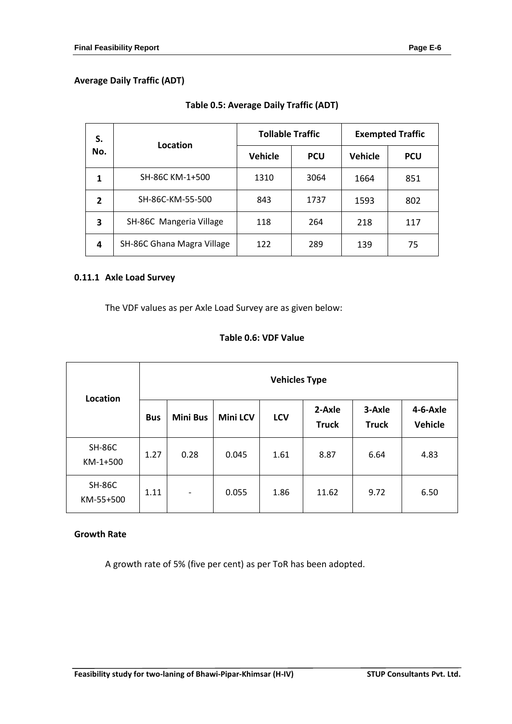| S.                      | Location                   | <b>Tollable Traffic</b> |            | <b>Exempted Traffic</b> |            |  |
|-------------------------|----------------------------|-------------------------|------------|-------------------------|------------|--|
| No.                     |                            | <b>Vehicle</b>          | <b>PCU</b> | <b>Vehicle</b>          | <b>PCU</b> |  |
| 1                       | SH-86C KM-1+500            | 1310                    | 3064       | 1664                    | 851        |  |
| $\overline{2}$          | SH-86C-KM-55-500           | 843                     | 1737       | 1593                    | 802        |  |
| $\overline{\mathbf{3}}$ | SH-86C Mangeria Village    | 118                     | 264        | 218                     | 117        |  |
| 4                       | SH-86C Ghana Magra Village | 122                     | 289        | 139                     | 75         |  |

# **Table 0.5: Average Daily Traffic (ADT)**

# **0.11.1 Axle Load Survey**

The VDF values as per Axle Load Survey are as given below:

# **Table 0.6: VDF Value**

| Location                   | <b>Vehicles Type</b> |                          |                 |            |                        |                        |                            |  |  |
|----------------------------|----------------------|--------------------------|-----------------|------------|------------------------|------------------------|----------------------------|--|--|
|                            | <b>Bus</b>           | <b>Mini Bus</b>          | <b>Mini LCV</b> | <b>LCV</b> | 2-Axle<br><b>Truck</b> | 3-Axle<br><b>Truck</b> | 4-6-Axle<br><b>Vehicle</b> |  |  |
| <b>SH-86C</b><br>KM-1+500  | 1.27                 | 0.28                     | 0.045           | 1.61       | 8.87                   | 6.64                   | 4.83                       |  |  |
| <b>SH-86C</b><br>KM-55+500 | 1.11                 | $\overline{\phantom{a}}$ | 0.055           | 1.86       | 11.62                  | 9.72                   | 6.50                       |  |  |

# **Growth Rate**

A growth rate of 5% (five per cent) as per ToR has been adopted.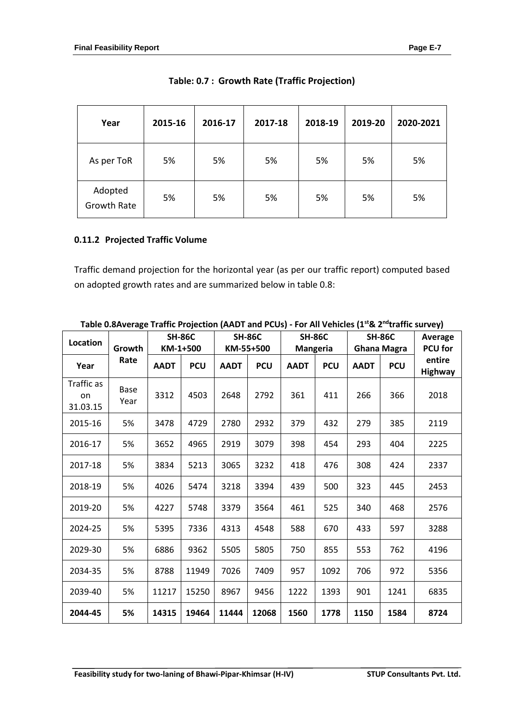| Year                          | 2015-16 | 2016-17 | 2017-18 | 2018-19 | 2019-20 | 2020-2021 |
|-------------------------------|---------|---------|---------|---------|---------|-----------|
| As per ToR                    | 5%      | 5%      | 5%      | 5%      | 5%      | 5%        |
| Adopted<br><b>Growth Rate</b> | 5%      | 5%      | 5%      | 5%      | 5%      | 5%        |

# **0.11.2 Projected Traffic Volume**

Traffic demand projection for the horizontal year (as per our traffic report) computed based on adopted growth rates and are summarized below in table 0.8:

| Location                     | Growth              |             | <b>SH-86C</b><br>KM-1+500 |             | <b>SH-86C</b><br>KM-55+500 |             | <b>SH-86C</b><br><b>Mangeria</b> |             | <b>SH-86C</b><br><b>Ghana Magra</b> | Average<br><b>PCU</b> for |
|------------------------------|---------------------|-------------|---------------------------|-------------|----------------------------|-------------|----------------------------------|-------------|-------------------------------------|---------------------------|
| Year                         | Rate                | <b>AADT</b> | <b>PCU</b>                | <b>AADT</b> | <b>PCU</b>                 | <b>AADT</b> | <b>PCU</b>                       | <b>AADT</b> | <b>PCU</b>                          | entire<br>Highway         |
| Traffic as<br>on<br>31.03.15 | <b>Base</b><br>Year | 3312        | 4503                      | 2648        | 2792                       | 361         | 411                              | 266         | 366                                 | 2018                      |
| 2015-16                      | 5%                  | 3478        | 4729                      | 2780        | 2932                       | 379         | 432                              | 279         | 385                                 | 2119                      |
| 2016-17                      | 5%                  | 3652        | 4965                      | 2919        | 3079                       | 398         | 454                              | 293         | 404                                 | 2225                      |
| 2017-18                      | 5%                  | 3834        | 5213                      | 3065        | 3232                       | 418         | 476                              | 308         | 424                                 | 2337                      |
| 2018-19                      | 5%                  | 4026        | 5474                      | 3218        | 3394                       | 439         | 500                              | 323         | 445                                 | 2453                      |
| 2019-20                      | 5%                  | 4227        | 5748                      | 3379        | 3564                       | 461         | 525                              | 340         | 468                                 | 2576                      |
| 2024-25                      | 5%                  | 5395        | 7336                      | 4313        | 4548                       | 588         | 670                              | 433         | 597                                 | 3288                      |
| 2029-30                      | 5%                  | 6886        | 9362                      | 5505        | 5805                       | 750         | 855                              | 553         | 762                                 | 4196                      |
| 2034-35                      | 5%                  | 8788        | 11949                     | 7026        | 7409                       | 957         | 1092                             | 706         | 972                                 | 5356                      |
| 2039-40                      | 5%                  | 11217       | 15250                     | 8967        | 9456                       | 1222        | 1393                             | 901         | 1241                                | 6835                      |
| 2044-45                      | 5%                  | 14315       | 19464                     | 11444       | 12068                      | 1560        | 1778                             | 1150        | 1584                                | 8724                      |

**Table 0.8Average Traffic Projection (AADT and PCUs) - For All Vehicles (1st& 2 ndtraffic survey)**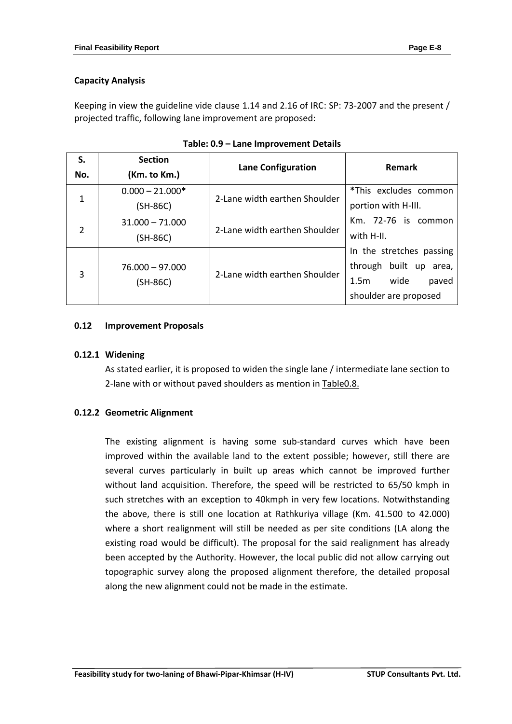# **Capacity Analysis**

Keeping in view the guideline vide clause 1.14 and 2.16 of IRC: SP: 73-2007 and the present / projected traffic, following lane improvement are proposed:

| S.             | <b>Section</b>                  |                               | Remark                                                                                                              |
|----------------|---------------------------------|-------------------------------|---------------------------------------------------------------------------------------------------------------------|
| No.            | (Km. to Km.)                    | <b>Lane Configuration</b>     |                                                                                                                     |
| $\mathbf{1}$   | $0.000 - 21.000*$<br>$(SH-86C)$ | 2-Lane width earthen Shoulder | *This excludes common<br>portion with H-III.                                                                        |
| $\overline{2}$ | $31.000 - 71.000$<br>(SH-86C)   | 2-Lane width earthen Shoulder | Km. 72-76 is common<br>with H-II.                                                                                   |
| 3              | $76.000 - 97.000$<br>$(SH-86C)$ | 2-Lane width earthen Shoulder | In the stretches passing<br>built up area,<br>through<br>wide<br>1.5 <sub>m</sub><br>paved<br>shoulder are proposed |

| Table: 0.9 – Lane Improvement Details |  |  |
|---------------------------------------|--|--|
|---------------------------------------|--|--|

## **0.12 Improvement Proposals**

## **0.12.1 Widening**

As stated earlier, it is proposed to widen the single lane / intermediate lane section to 2-lane with or without paved shoulders as mention in Table0.8.

## **0.12.2 Geometric Alignment**

The existing alignment is having some sub-standard curves which have been improved within the available land to the extent possible; however, still there are several curves particularly in built up areas which cannot be improved further without land acquisition. Therefore, the speed will be restricted to 65/50 kmph in such stretches with an exception to 40kmph in very few locations. Notwithstanding the above, there is still one location at Rathkuriya village (Km. 41.500 to 42.000) where a short realignment will still be needed as per site conditions (LA along the existing road would be difficult). The proposal for the said realignment has already been accepted by the Authority. However, the local public did not allow carrying out topographic survey along the proposed alignment therefore, the detailed proposal along the new alignment could not be made in the estimate.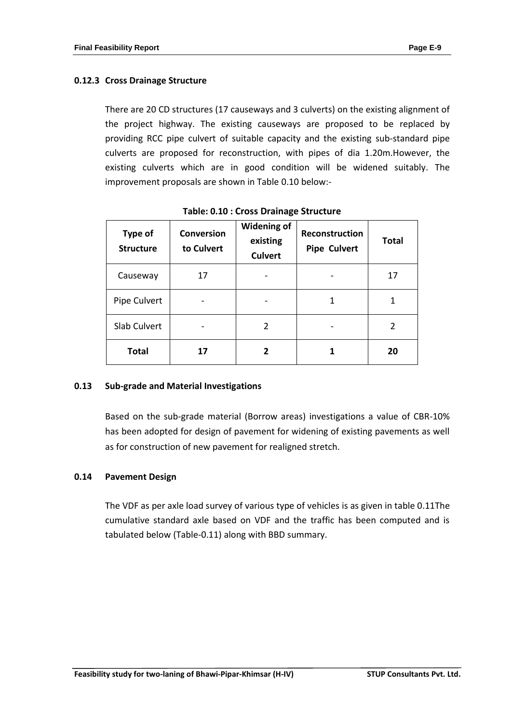# **0.12.3 Cross Drainage Structure**

There are 20 CD structures (17 causeways and 3 culverts) on the existing alignment of the project highway. The existing causeways are proposed to be replaced by providing RCC pipe culvert of suitable capacity and the existing sub-standard pipe culverts are proposed for reconstruction, with pipes of dia 1.20m.However, the existing culverts which are in good condition will be widened suitably. The improvement proposals are shown in Table 0.10 below:-

| <b>Type of</b><br><b>Structure</b> | <b>Conversion</b><br>to Culvert | <b>Widening of</b><br>existing<br><b>Culvert</b> | Reconstruction<br><b>Pipe Culvert</b> | <b>Total</b> |
|------------------------------------|---------------------------------|--------------------------------------------------|---------------------------------------|--------------|
| Causeway                           | 17                              |                                                  |                                       | 17           |
| Pipe Culvert                       |                                 |                                                  |                                       | 1            |
| Slab Culvert                       |                                 | 2                                                |                                       | 2            |
| <b>Total</b>                       |                                 |                                                  |                                       | 20           |

**Table: 0.10 : Cross Drainage Structure**

## **0.13 Sub-grade and Material Investigations**

Based on the sub-grade material (Borrow areas) investigations a value of CBR-10% has been adopted for design of pavement for widening of existing pavements as well as for construction of new pavement for realigned stretch.

# **0.14 Pavement Design**

The VDF as per axle load survey of various type of vehicles is as given in table 0.11The cumulative standard axle based on VDF and the traffic has been computed and is tabulated below (Table-0.11) along with BBD summary.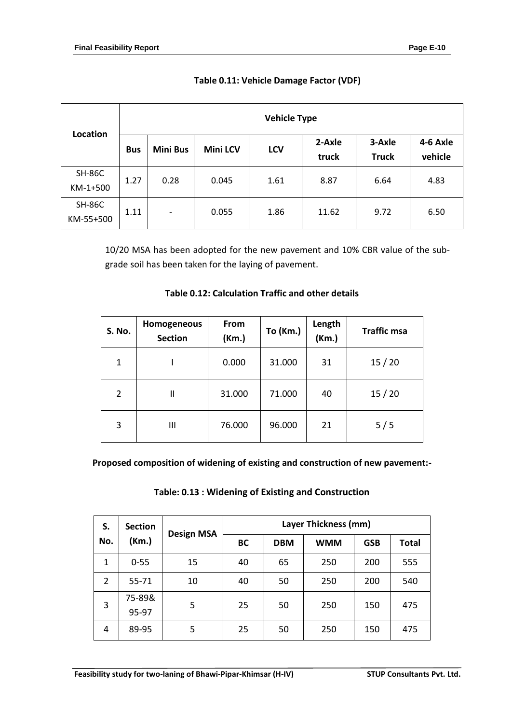|                            |            |                          |                 | <b>Vehicle Type</b> |                 |                        |                     |
|----------------------------|------------|--------------------------|-----------------|---------------------|-----------------|------------------------|---------------------|
| Location                   | <b>Bus</b> | <b>Mini Bus</b>          | <b>Mini LCV</b> | LCV                 | 2-Axle<br>truck | 3-Axle<br><b>Truck</b> | 4-6 Axle<br>vehicle |
| <b>SH-86C</b><br>KM-1+500  | 1.27       | 0.28                     | 0.045           | 1.61                | 8.87            | 6.64                   | 4.83                |
| <b>SH-86C</b><br>KM-55+500 | 1.11       | $\overline{\phantom{a}}$ | 0.055           | 1.86                | 11.62           | 9.72                   | 6.50                |

# **Table 0.11: Vehicle Damage Factor (VDF)**

10/20 MSA has been adopted for the new pavement and 10% CBR value of the subgrade soil has been taken for the laying of pavement.

| <b>S. No.</b>  | Homogeneous<br><b>Section</b> | From<br>(Km.) | <b>To (Km.)</b> | Length<br>(Km.) | <b>Traffic msa</b> |
|----------------|-------------------------------|---------------|-----------------|-----------------|--------------------|
| 1              |                               | 0.000         | 31.000          | 31              | 15/20              |
| $\overline{2}$ | $\mathsf{I}$                  | 31.000        | 71.000          | 40              | 15/20              |
| 3              | Ш                             | 76.000        | 96.000          | 21              | 5/5                |

# **Table 0.12: Calculation Traffic and other details**

**Proposed composition of widening of existing and construction of new pavement:-**

| Table: 0.13 : Widening of Existing and Construction |  |  |
|-----------------------------------------------------|--|--|
|-----------------------------------------------------|--|--|

| S.             | <b>Section</b> | <b>Design MSA</b> | Layer Thickness (mm) |            |            |              |     |
|----------------|----------------|-------------------|----------------------|------------|------------|--------------|-----|
| No.<br>(Km.)   |                | <b>BC</b>         | <b>DBM</b>           | <b>WMM</b> | <b>GSB</b> | <b>Total</b> |     |
| 1              | $0 - 55$       | 15                | 40                   | 65         | 250        | 200          | 555 |
| $\overline{2}$ | 55-71          | 10                | 40                   | 50         | 250        | 200          | 540 |
| 3              | 75-89&         | 5                 | 25                   | 50         | 250        | 150          | 475 |
|                | 95-97          |                   |                      |            |            |              |     |
| 4              | 89-95          | 5                 | 25                   | 50         | 250        | 150          | 475 |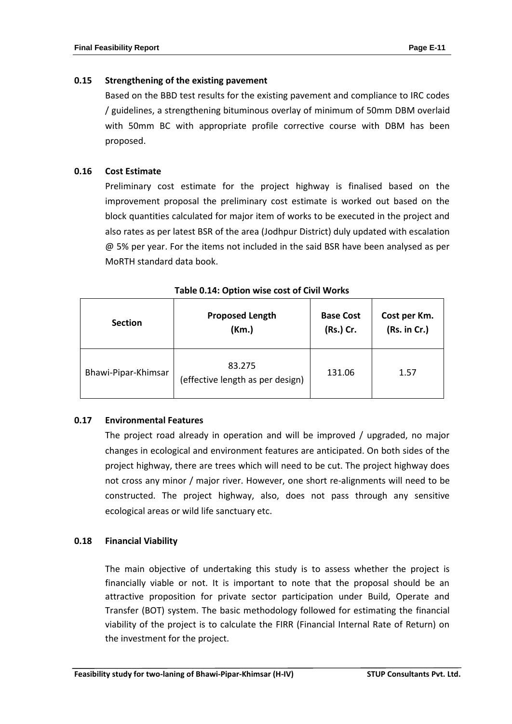# **0.15 Strengthening of the existing pavement**

Based on the BBD test results for the existing pavement and compliance to IRC codes / guidelines, a strengthening bituminous overlay of minimum of 50mm DBM overlaid with 50mm BC with appropriate profile corrective course with DBM has been proposed.

# **0.16 Cost Estimate**

Preliminary cost estimate for the project highway is finalised based on the improvement proposal the preliminary cost estimate is worked out based on the block quantities calculated for major item of works to be executed in the project and also rates as per latest BSR of the area (Jodhpur District) duly updated with escalation @ 5% per year. For the items not included in the said BSR have been analysed as per MoRTH standard data book.

| <b>Section</b>      | <b>Proposed Length</b>                     | <b>Base Cost</b> | Cost per Km. |
|---------------------|--------------------------------------------|------------------|--------------|
|                     | (Km.)                                      | (Rs.) Cr.        | (Rs. in Cr.) |
| Bhawi-Pipar-Khimsar | 83.275<br>(effective length as per design) | 131.06           | 1.57         |

| Table 0.14: Option wise cost of Civil Works |  |  |  |  |  |
|---------------------------------------------|--|--|--|--|--|
|---------------------------------------------|--|--|--|--|--|

# **0.17 Environmental Features**

The project road already in operation and will be improved / upgraded, no major changes in ecological and environment features are anticipated. On both sides of the project highway, there are trees which will need to be cut. The project highway does not cross any minor / major river. However, one short re-alignments will need to be constructed. The project highway, also, does not pass through any sensitive ecological areas or wild life sanctuary etc.

## **0.18 Financial Viability**

The main objective of undertaking this study is to assess whether the project is financially viable or not. It is important to note that the proposal should be an attractive proposition for private sector participation under Build, Operate and Transfer (BOT) system. The basic methodology followed for estimating the financial viability of the project is to calculate the FIRR (Financial Internal Rate of Return) on the investment for the project.